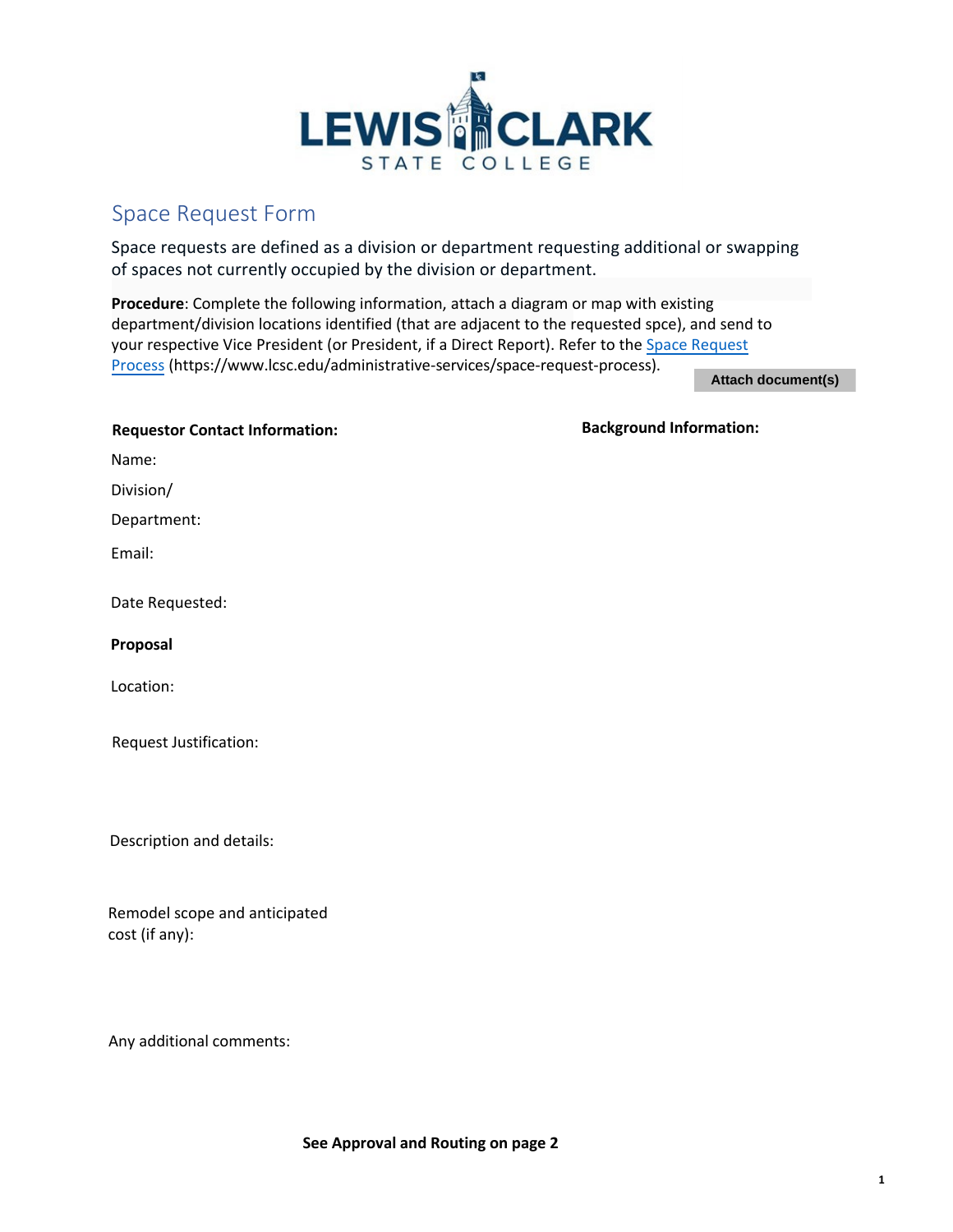

## Space Request Form

Space requests are defined as a division or department requesting additional or swapping of spaces not currently occupied by the division or department.

**Procedure**: Complete the following information, attach a diagram or map with existing department/division locations identified (that are adjacent to the requested spce), and send to your respective Vice President (or President, if a Direct Report). Refer to the Space Request Process (https://www.lcsc.edu/administrative-services[/space-request-process\).](https://www.lcsc.edu/administrative-services/space-request-process) 

**Attach document(s)**

**Background Information:** 

| <b>Requestor Contact Information:</b> |  |
|---------------------------------------|--|
|---------------------------------------|--|

Name:

Division/

Department:

Email:

Date Requested:

**Proposal**

Location:

Request Justification:

Description and details:

Remodel scope and anticipated cost (if any):

Any additional comments: